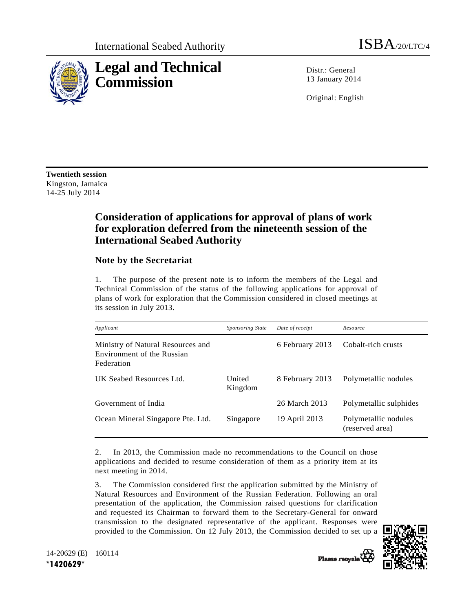

Distr · General 13 January 2014

Original: English

**Twentieth session**  Kingston, Jamaica 14-25 July 2014

## **Consideration of applications for approval of plans of work for exploration deferred from the nineteenth session of the International Seabed Authority**

## **Note by the Secretariat**

1. The purpose of the present note is to inform the members of the Legal and Technical Commission of the status of the following applications for approval of plans of work for exploration that the Commission considered in closed meetings at its session in July 2013.

| Applicant                                                                     | <b>Sponsoring State</b> | Date of receipt | Resource                                |
|-------------------------------------------------------------------------------|-------------------------|-----------------|-----------------------------------------|
| Ministry of Natural Resources and<br>Environment of the Russian<br>Federation |                         | 6 February 2013 | Cobalt-rich crusts                      |
| UK Seabed Resources Ltd.                                                      | United<br>Kingdom       | 8 February 2013 | Polymetallic nodules                    |
| Government of India                                                           |                         | 26 March 2013   | Polymetallic sulphides                  |
| Ocean Mineral Singapore Pte. Ltd.                                             | Singapore               | 19 April 2013   | Polymetallic nodules<br>(reserved area) |

2. In 2013, the Commission made no recommendations to the Council on those applications and decided to resume consideration of them as a priority item at its next meeting in 2014.

3. The Commission considered first the application submitted by the Ministry of Natural Resources and Environment of the Russian Federation. Following an oral presentation of the application, the Commission raised questions for clarification and requested its Chairman to forward them to the Secretary-General for onward transmission to the designated representative of the applicant. Responses were provided to the Commission. On 12 July 2013, the Commission decided to set up a



14-20629 (E) 160114 **\*1420629\***